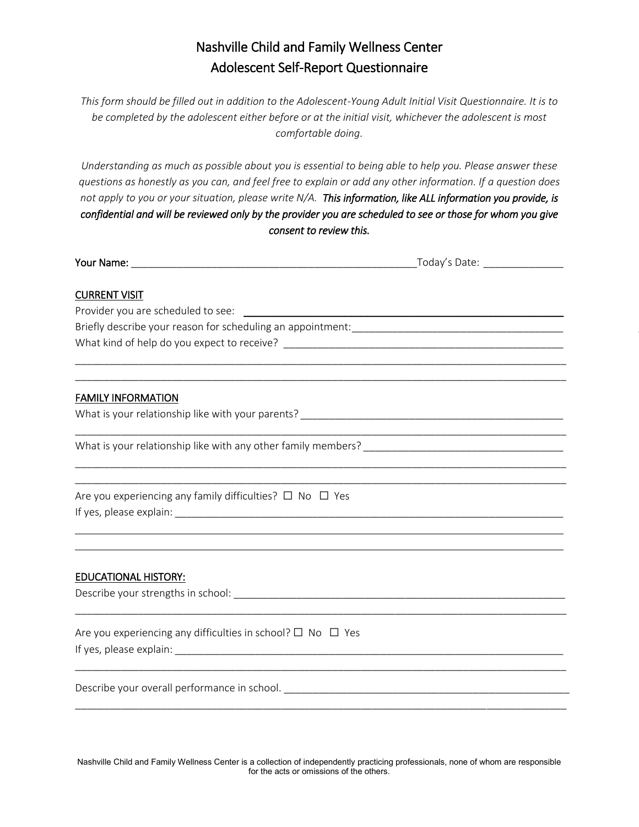# Nashville Child and Family Wellness Center Adolescent Self-Report Questionnaire

*This form should be filled out in addition to the Adolescent-Young Adult Initial Visit Questionnaire. It is to be completed by the adolescent either before or at the initial visit, whichever the adolescent is most comfortable doing.* 

*Understanding as much as possible about you is essential to being able to help you. Please answer these questions as honestly as you can, and feel free to explain or add any other information. If a question does not apply to you or your situation, please write N/A. This information, like ALL information you provide, is confidential and will be reviewed only by the provider you are scheduled to see or those for whom you give consent to review this.*

|                                                                             | <b>Your Name:</b> Today's Date:                                     |  |
|-----------------------------------------------------------------------------|---------------------------------------------------------------------|--|
| <b>CURRENT VISIT</b>                                                        |                                                                     |  |
|                                                                             |                                                                     |  |
|                                                                             |                                                                     |  |
|                                                                             |                                                                     |  |
|                                                                             |                                                                     |  |
| <b>FAMILY INFORMATION</b>                                                   |                                                                     |  |
|                                                                             |                                                                     |  |
|                                                                             |                                                                     |  |
|                                                                             | <u> 1980 - John Stoff, amerikansk politiker (d. 1980)</u>           |  |
| Are you experiencing any family difficulties? $\Box$ No $\Box$ Yes          |                                                                     |  |
|                                                                             |                                                                     |  |
|                                                                             | <u> 1989 - Andrea Stadt Brander, amerikansk politiker (d. 1989)</u> |  |
| <b>EDUCATIONAL HISTORY:</b>                                                 |                                                                     |  |
|                                                                             |                                                                     |  |
| Are you experiencing any difficulties in school? $\square$ No $\square$ Yes |                                                                     |  |
|                                                                             |                                                                     |  |
|                                                                             |                                                                     |  |
|                                                                             |                                                                     |  |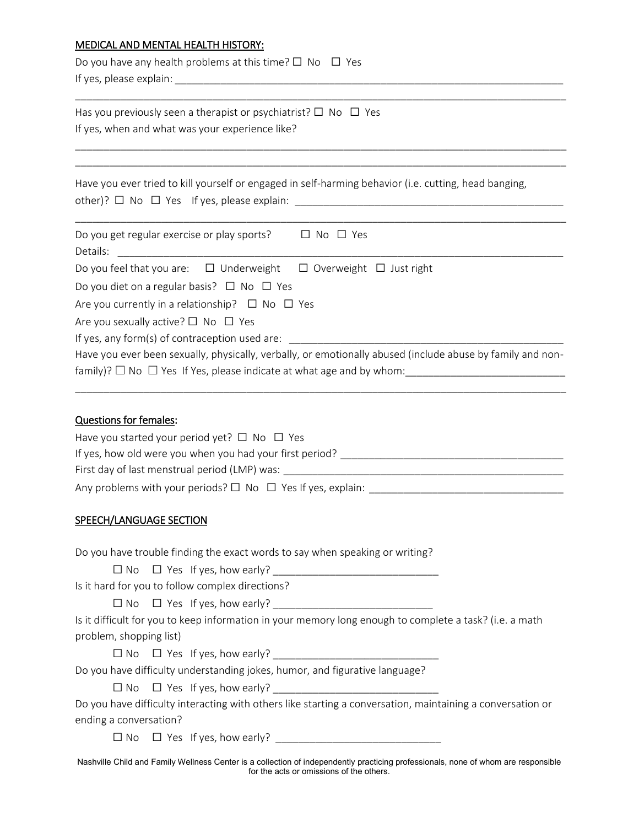#### MEDICAL AND MENTAL HEALTH HISTORY:

| Do you have any health problems at this time? $\Box$ No $\Box$ Yes |  |
|--------------------------------------------------------------------|--|
| If yes, please explain:                                            |  |

Has you previously seen a therapist or psychiatrist?  $\Box$  No  $\Box$  Yes If yes, when and what was your experience like?

Have you ever tried to kill yourself or engaged in self-harming behavior (i.e. cutting, head banging, other)? ☐ No ☐ Yes If yes, please explain: \_\_\_\_\_\_\_\_\_\_\_\_\_\_\_\_\_\_\_\_\_\_\_\_\_\_\_\_\_\_\_\_\_\_\_\_\_\_\_\_\_\_\_\_\_\_\_

\_\_\_\_\_\_\_\_\_\_\_\_\_\_\_\_\_\_\_\_\_\_\_\_\_\_\_\_\_\_\_\_\_\_\_\_\_\_\_\_\_\_\_\_\_\_\_\_\_\_\_\_\_\_\_\_\_\_\_\_\_\_\_\_\_\_\_\_\_\_\_\_\_\_\_\_\_\_\_\_\_\_\_\_\_\_

\_\_\_\_\_\_\_\_\_\_\_\_\_\_\_\_\_\_\_\_\_\_\_\_\_\_\_\_\_\_\_\_\_\_\_\_\_\_\_\_\_\_\_\_\_\_\_\_\_\_\_\_\_\_\_\_\_\_\_\_\_\_\_\_\_\_\_\_\_\_\_\_\_\_\_\_\_\_\_\_\_\_\_\_\_\_ \_\_\_\_\_\_\_\_\_\_\_\_\_\_\_\_\_\_\_\_\_\_\_\_\_\_\_\_\_\_\_\_\_\_\_\_\_\_\_\_\_\_\_\_\_\_\_\_\_\_\_\_\_\_\_\_\_\_\_\_\_\_\_\_\_\_\_\_\_\_\_\_\_\_\_\_\_\_\_\_\_\_\_\_\_\_

| Do you get regular exercise or play sports?<br>$\Box$ No $\Box$ Yes                                        |
|------------------------------------------------------------------------------------------------------------|
| Details:                                                                                                   |
| Do you feel that you are: $\Box$ Underweight $\Box$ Overweight $\Box$ Just right                           |
| Do you diet on a regular basis? $\Box$ No $\Box$ Yes                                                       |
| Are you currently in a relationship? $\Box$ No $\Box$ Yes                                                  |
| Are you sexually active? $\square$ No $\square$ Yes                                                        |
| If yes, any form(s) of contraception used are:                                                             |
| Have you ever been sexually, physically, verbally, or emotionally abused (include abuse by family and non- |
| family)? $\Box$ No $\Box$ Yes If Yes, please indicate at what age and by whom:                             |

#### Questions for females:

| Have you started your period yet? $\Box$ No $\Box$ Yes                |
|-----------------------------------------------------------------------|
| If yes, how old were you when you had your first period?              |
| First day of last menstrual period (LMP) was:                         |
| Any problems with your periods? $\Box$ No $\Box$ Yes If yes, explain: |

\_\_\_\_\_\_\_\_\_\_\_\_\_\_\_\_\_\_\_\_\_\_\_\_\_\_\_\_\_\_\_\_\_\_\_\_\_\_\_\_\_\_\_\_\_\_\_\_\_\_\_\_\_\_\_\_\_\_\_\_\_\_\_\_\_\_\_\_\_\_\_\_\_\_\_\_\_\_\_\_\_\_\_\_\_\_

#### SPEECH/LANGUAGE SECTION

Do you have trouble finding the exact words to say when speaking or writing?

 $\Box$  No  $\Box$  Yes If yes, how early?

Is it hard for you to follow complex directions?

 $\Box$  No  $\Box$  Yes If yes, how early?

Is it difficult for you to keep information in your memory long enough to complete a task? (i.e. a math problem, shopping list)

 $\Box$  No  $\Box$  Yes If yes, how early?

Do you have difficulty understanding jokes, humor, and figurative language?

 $\Box$  No  $\Box$  Yes If yes, how early?

Do you have difficulty interacting with others like starting a conversation, maintaining a conversation or ending a conversation?

 $\Box$  No  $\Box$  Yes If yes, how early?

Nashville Child and Family Wellness Center is a collection of independently practicing professionals, none of whom are responsible for the acts or omissions of the others.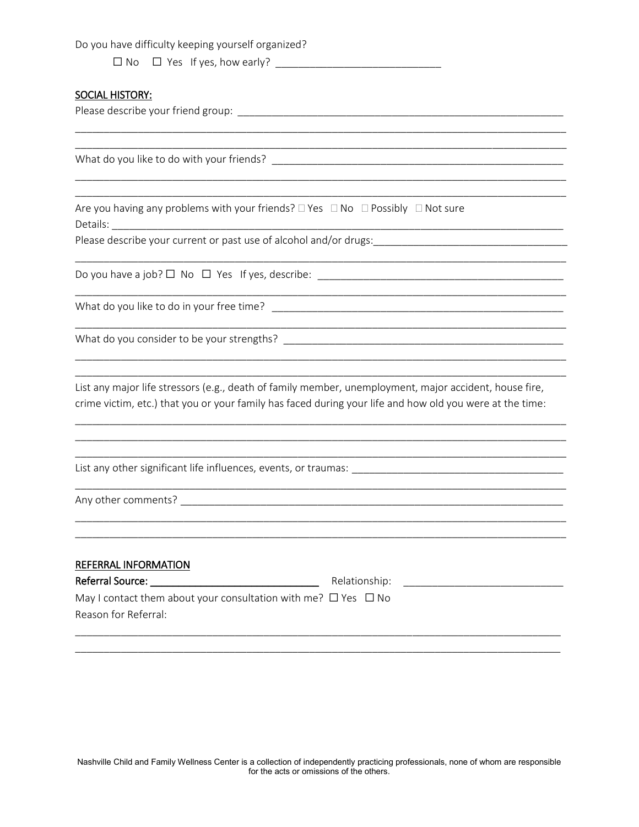Do you have difficulty keeping yourself organized?

#### **SOCIAL HISTORY:**

Please describe your friend group: The state of the state of the state of the state of the state of the state of the state of the state of the state of the state of the state of the state of the state of the state of the s

Are you having any problems with your friends?  $\square$  Yes  $\square$  No  $\square$  Possibly  $\square$  Not sure

Details: Details:

Please describe your current or past use of alcohol and/or drugs:\_\_\_\_\_\_\_\_\_\_\_\_\_\_\_\_\_\_\_\_\_\_\_\_\_\_\_\_\_\_\_\_\_\_\_

Do you have a job?  $\Box$  No  $\Box$  Yes If yes, describe:

What do you like to do in your free time?

List any major life stressors (e.g., death of family member, unemployment, major accident, house fire, crime victim, etc.) that you or your family has faced during your life and how old you were at the time:

Any other comments?

| REFERRAL INFORMATION                                                     |               |  |  |  |
|--------------------------------------------------------------------------|---------------|--|--|--|
| Referral Source:                                                         | Relationship: |  |  |  |
| May I contact them about your consultation with me? $\Box$ Yes $\Box$ No |               |  |  |  |
| Reason for Referral:                                                     |               |  |  |  |